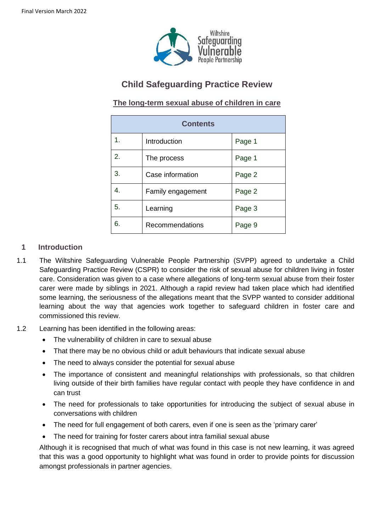

# **Child Safeguarding Practice Review**

# **The long-term sexual abuse of children in care**

| <b>Contents</b> |                   |        |
|-----------------|-------------------|--------|
| 1.              | Introduction      | Page 1 |
| 2.              | The process       | Page 1 |
| 3.              | Case information  | Page 2 |
| 4.              | Family engagement | Page 2 |
| 5.              | Learning          | Page 3 |
| 6.              | Recommendations   | Page 9 |

# **1 Introduction**

- 1.1 The Wiltshire Safeguarding Vulnerable People Partnership (SVPP) agreed to undertake a Child Safeguarding Practice Review (CSPR) to consider the risk of sexual abuse for children living in foster care. Consideration was given to a case where allegations of long-term sexual abuse from their foster carer were made by siblings in 2021. Although a rapid review had taken place which had identified some learning, the seriousness of the allegations meant that the SVPP wanted to consider additional learning about the way that agencies work together to safeguard children in foster care and commissioned this review.
- 1.2 Learning has been identified in the following areas:
	- The vulnerability of children in care to sexual abuse
	- That there may be no obvious child or adult behaviours that indicate sexual abuse
	- The need to always consider the potential for sexual abuse
	- The importance of consistent and meaningful relationships with professionals, so that children living outside of their birth families have regular contact with people they have confidence in and can trust
	- The need for professionals to take opportunities for introducing the subject of sexual abuse in conversations with children
	- The need for full engagement of both carers, even if one is seen as the 'primary carer'
	- The need for training for foster carers about intra familial sexual abuse

Although it is recognised that much of what was found in this case is not new learning, it was agreed that this was a good opportunity to highlight what was found in order to provide points for discussion amongst professionals in partner agencies.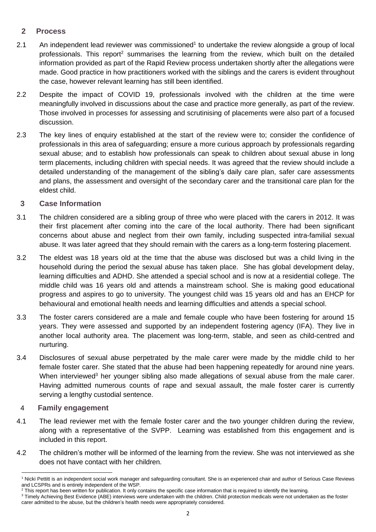# **2 Process**

- 2.1 An independent lead reviewer was commissioned<sup>1</sup> to undertake the review alongside a group of local professionals. This report<sup>2</sup> summarises the learning from the review, which built on the detailed information provided as part of the Rapid Review process undertaken shortly after the allegations were made. Good practice in how practitioners worked with the siblings and the carers is evident throughout the case, however relevant learning has still been identified.
- 2.2 Despite the impact of COVID 19, professionals involved with the children at the time were meaningfully involved in discussions about the case and practice more generally, as part of the review. Those involved in processes for assessing and scrutinising of placements were also part of a focused discussion.
- 2.3 The key lines of enquiry established at the start of the review were to; consider the confidence of professionals in this area of safeguarding; ensure a more curious approach by professionals regarding sexual abuse; and to establish how professionals can speak to children about sexual abuse in long term placements, including children with special needs. It was agreed that the review should include a detailed understanding of the management of the sibling's daily care plan, safer care assessments and plans, the assessment and oversight of the secondary carer and the transitional care plan for the eldest child.

# **3 Case Information**

- 3.1 The children considered are a sibling group of three who were placed with the carers in 2012. It was their first placement after coming into the care of the local authority. There had been significant concerns about abuse and neglect from their own family, including suspected intra-familial sexual abuse. It was later agreed that they should remain with the carers as a long-term fostering placement.
- 3.2 The eldest was 18 years old at the time that the abuse was disclosed but was a child living in the household during the period the sexual abuse has taken place. She has global development delay, learning difficulties and ADHD. She attended a special school and is now at a residential college. The middle child was 16 years old and attends a mainstream school. She is making good educational progress and aspires to go to university. The youngest child was 15 years old and has an EHCP for behavioural and emotional health needs and learning difficulties and attends a special school.
- 3.3 The foster carers considered are a male and female couple who have been fostering for around 15 years. They were assessed and supported by an independent fostering agency (IFA). They live in another local authority area. The placement was long-term, stable, and seen as child-centred and nurturing.
- 3.4 Disclosures of sexual abuse perpetrated by the male carer were made by the middle child to her female foster carer. She stated that the abuse had been happening repeatedly for around nine years. When interviewed<sup>3</sup> her younger sibling also made allegations of sexual abuse from the male carer. Having admitted numerous counts of rape and sexual assault, the male foster carer is currently serving a lengthy custodial sentence.

#### 4 **Family engagement**

- 4.1 The lead reviewer met with the female foster carer and the two younger children during the review, along with a representative of the SVPP. Learning was established from this engagement and is included in this report.
- 4.2 The children's mother will be informed of the learning from the review. She was not interviewed as she does not have contact with her children.

<sup>1</sup> Nicki Pettitt is an independent social work manager and safeguarding consultant. She is an experienced chair and author of Serious Case Reviews and LCSPRs and is entirely independent of the WSP.

 $2$  This report has been written for publication. It only contains the specific case information that is required to identify the learning.

<sup>&</sup>lt;sup>3</sup> Timely Achieving Best Evidence (ABE) interviews were undertaken with the children. Child protection medicals were not undertaken as the foster carer admitted to the abuse, but the children's health needs were appropriately considered.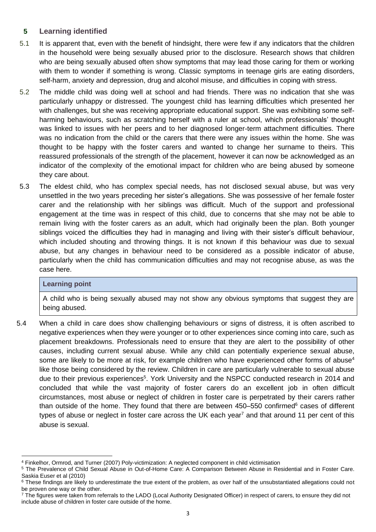# **5 Learning identified**

- 5.1 It is apparent that, even with the benefit of hindsight, there were few if any indicators that the children in the household were being sexually abused prior to the disclosure. Research shows that children who are being sexually abused often show symptoms that may lead those caring for them or working with them to wonder if something is wrong. Classic symptoms in teenage girls are eating disorders, self-harm, anxiety and depression, drug and alcohol misuse, and difficulties in coping with stress.
- 5.2 The middle child was doing well at school and had friends. There was no indication that she was particularly unhappy or distressed. The youngest child has learning difficulties which presented her with challenges, but she was receiving appropriate educational support. She was exhibiting some selfharming behaviours, such as scratching herself with a ruler at school, which professionals' thought was linked to issues with her peers and to her diagnosed longer-term attachment difficulties. There was no indication from the child or the carers that there were any issues within the home. She was thought to be happy with the foster carers and wanted to change her surname to theirs. This reassured professionals of the strength of the placement, however it can now be acknowledged as an indicator of the complexity of the emotional impact for children who are being abused by someone they care about.
- 5.3 The eldest child, who has complex special needs, has not disclosed sexual abuse, but was very unsettled in the two years preceding her sister's allegations. She was possessive of her female foster carer and the relationship with her siblings was difficult. Much of the support and professional engagement at the time was in respect of this child, due to concerns that she may not be able to remain living with the foster carers as an adult, which had originally been the plan. Both younger siblings voiced the difficulties they had in managing and living with their sister's difficult behaviour, which included shouting and throwing things. It is not known if this behaviour was due to sexual abuse, but any changes in behaviour need to be considered as a possible indicator of abuse, particularly when the child has communication difficulties and may not recognise abuse, as was the case here.

#### **Learning point**

A child who is being sexually abused may not show any obvious symptoms that suggest they are being abused.

5.4 When a child in care does show challenging behaviours or signs of distress, it is often ascribed to negative experiences when they were younger or to other experiences since coming into care, such as placement breakdowns. Professionals need to ensure that they are alert to the possibility of other causes, including current sexual abuse. While any child can potentially experience sexual abuse, some are likely to be more at risk, for example children who have experienced other forms of abuse<sup>4</sup> like those being considered by the review. Children in care are particularly vulnerable to sexual abuse due to their previous experiences<sup>5</sup>. York University and the NSPCC conducted research in 2014 and concluded that while the vast majority of foster carers do an excellent job in often difficult circumstances, most abuse or neglect of children in foster care is perpetrated by their carers rather than outside of the home. They found that there are between  $450-550$  confirmed<sup>6</sup> cases of different types of abuse or neglect in foster care across the UK each year<sup>7</sup> and that around 11 per cent of this abuse is sexual.

<sup>4</sup> Finkelhor, Ormrod, and Turner (2007) Poly-victimization: A neglected component in child victimisation

<sup>5</sup> The Prevalence of Child Sexual Abuse in Out-of-Home Care: A Comparison Between Abuse in Residential and in Foster Care. Saskia Euser et al (2010)

 $6$  These findings are likely to underestimate the true extent of the problem, as over half of the unsubstantiated allegations could not be proven one way or the other.

<sup>&</sup>lt;sup>7</sup> The figures were taken from referrals to the LADO (Local Authority Designated Officer) in respect of carers, to ensure they did not include abuse of children in foster care outside of the home.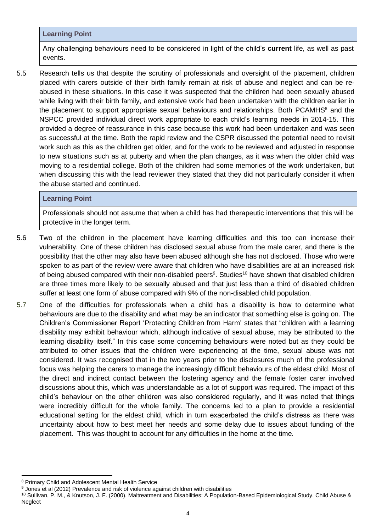#### **Learning Point**

Any challenging behaviours need to be considered in light of the child's **current** life, as well as past events.

5.5 Research tells us that despite the scrutiny of professionals and oversight of the placement, children placed with carers outside of their birth family remain at risk of abuse and neglect and can be reabused in these situations. In this case it was suspected that the children had been sexually abused while living with their birth family, and extensive work had been undertaken with the children earlier in the placement to support appropriate sexual behaviours and relationships. Both PCAMHS $\text{8}$  and the NSPCC provided individual direct work appropriate to each child's learning needs in 2014-15. This provided a degree of reassurance in this case because this work had been undertaken and was seen as successful at the time. Both the rapid review and the CSPR discussed the potential need to revisit work such as this as the children get older, and for the work to be reviewed and adjusted in response to new situations such as at puberty and when the plan changes, as it was when the older child was moving to a residential college. Both of the children had some memories of the work undertaken, but when discussing this with the lead reviewer they stated that they did not particularly consider it when the abuse started and continued.

## **Learning Point**

Professionals should not assume that when a child has had therapeutic interventions that this will be protective in the longer term.

- 5.6 Two of the children in the placement have learning difficulties and this too can increase their vulnerability. One of these children has disclosed sexual abuse from the male carer, and there is the possibility that the other may also have been abused although she has not disclosed. Those who were spoken to as part of the review were aware that children who have disabilities are at an increased risk of [being abused](https://learning.nspcc.org.uk/) compared with their non-disabled peers<sup>9</sup>. Studies<sup>10</sup> have shown that disabled children are three times more likely to be sexually abused and that just less than a third of disabled children suffer at least one form of abuse compared with 9% of the non-disabled child population.
- 5.7 One of the difficulties for professionals when a child has a disability is how to determine what behaviours are due to the disability and what may be an indicator that something else is going on. The Children's Commissioner Report 'Protecting Children from Harm' states that "children with a learning disability may exhibit behaviour which, although indicative of sexual abuse, may be attributed to the learning disability itself." In this case some concerning behaviours were noted but as they could be attributed to other issues that the children were experiencing at the time, sexual abuse was not considered. It was recognised that in the two years prior to the disclosures much of the professional focus was helping the carers to manage the increasingly difficult behaviours of the eldest child. Most of the direct and indirect contact between the fostering agency and the female foster carer involved discussions about this, which was understandable as a lot of support was required. The impact of this child's behaviour on the other children was also considered regularly, and it was noted that things were incredibly difficult for the whole family. The concerns led to a plan to provide a residential educational setting for the eldest child, which in turn exacerbated the child's distress as there was uncertainty about how to best meet her needs and some delay due to issues about funding of the placement. This was thought to account for any difficulties in the home at the time.

<sup>8</sup> Primary Child and Adolescent Mental Health Service

<sup>&</sup>lt;sup>9</sup> Jones et al (2012) Prevalence and risk of violence against children with disabilities

<sup>10</sup> Sullivan, P. M., & Knutson, J. F. (2000). Maltreatment and Disabilities: A Population-Based Epidemiological Study. Child Abuse & **Neglect**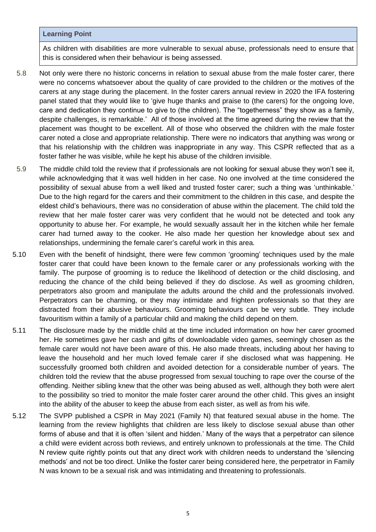#### **Learning Point**

As children with disabilities are more vulnerable to sexual abuse, professionals need to ensure that this is considered when their behaviour is being assessed.

- 5.8 Not only were there no historic concerns in relation to sexual abuse from the male foster carer, there were no concerns whatsoever about the quality of care provided to the children or the motives of the carers at any stage during the placement. In the foster carers annual review in 2020 the IFA fostering panel stated that they would like to 'give huge thanks and praise to (the carers) for the ongoing love, care and dedication they continue to give to (the children). The "togetherness" they show as a family, despite challenges, is remarkable.' All of those involved at the time agreed during the review that the placement was thought to be excellent. All of those who observed the children with the male foster carer noted a close and appropriate relationship. There were no indicators that anything was wrong or that his relationship with the children was inappropriate in any way. This CSPR reflected that as a foster father he was visible, while he kept his abuse of the children invisible.
- 5.9 The middle child told the review that if professionals are not looking for sexual abuse they won't see it, while acknowledging that it was well hidden in her case. No one involved at the time considered the possibility of sexual abuse from a well liked and trusted foster carer; such a thing was 'unthinkable.' Due to the high regard for the carers and their commitment to the children in this case, and despite the eldest child's behaviours, there was no consideration of abuse within the placement. The child told the review that her male foster carer was very confident that he would not be detected and took any opportunity to abuse her. For example, he would sexually assault her in the kitchen while her female carer had turned away to the cooker. He also made her question her knowledge about sex and relationships, undermining the female carer's careful work in this area.
- 5.10 Even with the benefit of hindsight, there were few common 'grooming' techniques used by the male foster carer that could have been known to the female carer or any professionals working with the family. The purpose of grooming is to reduce the likelihood of detection or the child disclosing, and reducing the chance of the child being believed if they do disclose. As well as grooming children, perpetrators also groom and manipulate the adults around the child and the professionals involved. Perpetrators can be charming, or they may intimidate and frighten professionals so that they are distracted from their abusive behaviours. Grooming behaviours can be very subtle. They include favouritism within a family of a particular child and making the child depend on them.
- 5.11 The disclosure made by the middle child at the time included information on how her carer groomed her. He sometimes gave her cash and gifts of downloadable video games, seemingly chosen as the female carer would not have been aware of this. He also made threats, including about her having to leave the household and her much loved female carer if she disclosed what was happening. He successfully groomed both children and avoided detection for a considerable number of years. The children told the review that the abuse progressed from sexual touching to rape over the course of the offending. Neither sibling knew that the other was being abused as well, although they both were alert to the possibility so tried to monitor the male foster carer around the other child. This gives an insight into the ability of the abuser to keep the abuse from each sister, as well as from his wife.
- 5.12 The SVPP published a CSPR in May 2021 (Family N) that featured sexual abuse in the home. The learning from the review highlights that children are less likely to disclose sexual abuse than other forms of abuse and that it is often 'silent and hidden.' Many of the ways that a perpetrator can silence a child were evident across both reviews, and entirely unknown to professionals at the time. The Child N review quite rightly points out that any direct work with children needs to understand the 'silencing methods' and not be too direct. Unlike the foster carer being considered here, the perpetrator in Family N was known to be a sexual risk and was intimidating and threatening to professionals.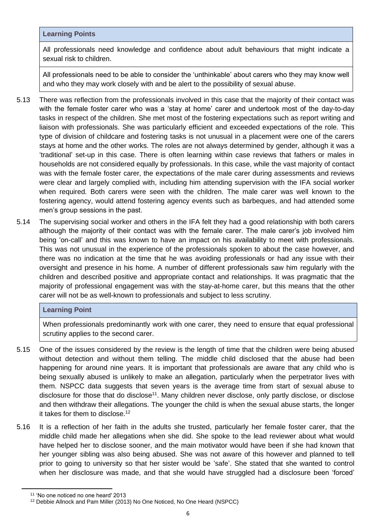#### **Learning Points**

All professionals need knowledge and confidence about adult behaviours that might indicate a sexual risk to children.

All professionals need to be able to consider the 'unthinkable' about carers who they may know well and who they may work closely with and be alert to the possibility of sexual abuse.

- 5.13 There was reflection from the professionals involved in this case that the majority of their contact was with the female foster carer who was a 'stay at home' carer and undertook most of the day-to-day tasks in respect of the children. She met most of the fostering expectations such as report writing and liaison with professionals. She was particularly efficient and exceeded expectations of the role. This type of division of childcare and fostering tasks is not unusual in a placement were one of the carers stays at home and the other works. The roles are not always determined by gender, although it was a 'traditional' set-up in this case. There is often learning within case reviews that fathers or males in households are not considered equally by professionals. In this case, while the vast majority of contact was with the female foster carer, the expectations of the male carer during assessments and reviews were clear and largely complied with, including him attending supervision with the IFA social worker when required. Both carers were seen with the children. The male carer was well known to the fostering agency, would attend fostering agency events such as barbeques, and had attended some men's group sessions in the past.
- 5.14 The supervising social worker and others in the IFA felt they had a good relationship with both carers although the majority of their contact was with the female carer. The male carer's job involved him being 'on-call' and this was known to have an impact on his availability to meet with professionals. This was not unusual in the experience of the professionals spoken to about the case however, and there was no indication at the time that he was avoiding professionals or had any issue with their oversight and presence in his home. A number of different professionals saw him regularly with the children and described positive and appropriate contact and relationships. It was pragmatic that the majority of professional engagement was with the stay-at-home carer, but this means that the other carer will not be as well-known to professionals and subject to less scrutiny.

#### **Learning Point**

When professionals predominantly work with one carer, they need to ensure that equal professional scrutiny applies to the second carer.

- 5.15 One of the issues considered by the review is the length of time that the children were being abused without detection and without them telling. The middle child disclosed that the abuse had been happening for around nine years. It is important that professionals are aware that any child who is being sexually abused is unlikely to make an allegation, particularly when the perpetrator lives with them. NSPCC data suggests that seven years is the average time from start of sexual abuse to disclosure for those that do disclose<sup>11</sup>. Many children never disclose, only partly disclose, or disclose and then withdraw their allegations. The younger the child is when the sexual abuse starts, the longer it takes for them to disclose.<sup>12</sup>
- 5.16 It is a reflection of her faith in the adults she trusted, particularly her female foster carer, that the middle child made her allegations when she did. She spoke to the lead reviewer about what would have helped her to disclose sooner, and the main motivator would have been if she had known that her younger sibling was also being abused. She was not aware of this however and planned to tell prior to going to university so that her sister would be 'safe'. She stated that she wanted to control when her disclosure was made, and that she would have struggled had a disclosure been 'forced'

<sup>11</sup> 'No one noticed no one heard' 2013

<sup>12</sup> Debbie Allnock and Pam Miller (2013) No One Noticed, No One Heard (NSPCC)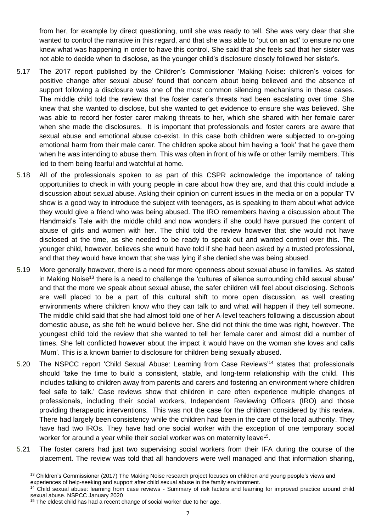from her, for example by direct questioning, until she was ready to tell. She was very clear that she wanted to control the narrative in this regard, and that she was able to 'put on an act' to ensure no one knew what was happening in order to have this control. She said that she feels sad that her sister was not able to decide when to disclose, as the younger child's disclosure closely followed her sister's.

- 5.17 The 2017 report published by the Children's Commissioner 'Making Noise: children's voices for positive change after sexual abuse' found that concern about being believed and the absence of support following a disclosure was one of the most common silencing mechanisms in these cases. The middle child told the review that the foster carer's threats had been escalating over time. She knew that she wanted to disclose, but she wanted to get evidence to ensure she was believed. She was able to record her foster carer making threats to her, which she shared with her female carer when she made the disclosures. It is important that professionals and foster carers are aware that sexual abuse and emotional abuse co-exist. In this case both children were subjected to on-going emotional harm from their male carer. The children spoke about him having a 'look' that he gave them when he was intending to abuse them. This was often in front of his wife or other family members. This led to them being fearful and watchful at home.
- 5.18 All of the professionals spoken to as part of this CSPR acknowledge the importance of taking opportunities to check in with young people in care about how they are, and that this could include a discussion about sexual abuse. Asking their opinion on current issues in the media or on a popular TV show is a good way to introduce the subject with teenagers, as is speaking to them about what advice they would give a friend who was being abused. The IRO remembers having a discussion about The Handmaid's Tale with the middle child and now wonders if she could have pursued the content of abuse of girls and women with her. The child told the review however that she would not have disclosed at the time, as she needed to be ready to speak out and wanted control over this. The younger child, however, believes she would have told if she had been asked by a trusted professional, and that they would have known that she was lying if she denied she was being abused.
- 5.19 More generally however, there is a need for more openness about sexual abuse in families. As stated in Making Noise<sup>13</sup> there is a need to challenge the 'cultures of silence surrounding child sexual abuse' and that the more we speak about sexual abuse, the safer children will feel about disclosing. Schools are well placed to be a part of this cultural shift to more open discussion, as well creating environments where children know who they can talk to and what will happen if they tell someone. The middle child said that she had almost told one of her A-level teachers following a discussion about domestic abuse, as she felt he would believe her. She did not think the time was right, however. The youngest child told the review that she wanted to tell her female carer and almost did a number of times. She felt conflicted however about the impact it would have on the woman she loves and calls 'Mum'. This is a known barrier to disclosure for children being sexually abused.
- 5.20 The NSPCC report 'Child Sexual Abuse: Learning from Case Reviews'<sup>14</sup> states that professionals should 'take the time to build a consistent, stable, and long-term relationship with the child. This includes talking to children away from parents and carers and fostering an environment where children feel safe to talk.' Case reviews show that children in care often experience multiple changes of professionals, including their social workers, Independent Reviewing Officers (IRO) and those providing therapeutic interventions. This was not the case for the children considered by this review. There had largely been consistency while the children had been in the care of the local authority. They have had two IROs. They have had one social worker with the exception of one temporary social worker for around a year while their social worker was on maternity leave<sup>15</sup>.
- 5.21 The foster carers had just two supervising social workers from their IFA during the course of the placement. The review was told that all handovers were well managed and that information sharing,

<sup>&</sup>lt;sup>13</sup> Children's Commissioner (2017) The Making Noise research project focuses on children and young people's views and experiences of help-seeking and support after child sexual abuse in the family environment.

<sup>&</sup>lt;sup>14</sup> Child sexual abuse: learning from case reviews - Summary of risk factors and learning for improved practice around child sexual abuse. NSPCC January 2020

<sup>&</sup>lt;sup>15</sup> The eldest child has had a recent change of social worker due to her age.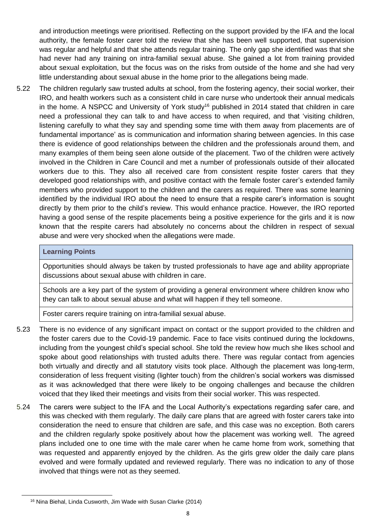and introduction meetings were prioritised. Reflecting on the support provided by the IFA and the local authority, the female foster carer told the review that she has been well supported, that supervision was regular and helpful and that she attends regular training. The only gap she identified was that she had never had any training on intra-familial sexual abuse. She gained a lot from training provided about sexual exploitation, but the focus was on the risks from outside of the home and she had very little understanding about sexual abuse in the home prior to the allegations being made.

5.22 The children regularly saw trusted adults at school, from the fostering agency, their social worker, their IRO, and health workers such as a consistent child in care nurse who undertook their annual medicals in the home. A NSPCC and University of York study<sup>16</sup> published in 2014 stated that children in care need a professional they can talk to and have access to when required, and that 'visiting children, listening carefully to what they say and spending some time with them away from placements are of fundamental importance' as is communication and information sharing between agencies. In this case there is evidence of good relationships between the children and the professionals around them, and many examples of them being seen alone outside of the placement. Two of the children were actively involved in the Children in Care Council and met a number of professionals outside of their allocated workers due to this. They also all received care from consistent respite foster carers that they developed good relationships with, and positive contact with the female foster carer's extended family members who provided support to the children and the carers as required. There was some learning identified by the individual IRO about the need to ensure that a respite carer's information is sought directly by them prior to the child's review. This would enhance practice. However, the IRO reported having a good sense of the respite placements being a positive experience for the girls and it is now known that the respite carers had absolutely no concerns about the children in respect of sexual abuse and were very shocked when the allegations were made.

#### **Learning Points**

Opportunities should always be taken by trusted professionals to have age and ability appropriate discussions about sexual abuse with children in care.

Schools are a key part of the system of providing a general environment where children know who they can talk to about sexual abuse and what will happen if they tell someone.

Foster carers require training on intra-familial sexual abuse.

- 5.23 There is no evidence of any significant impact on contact or the support provided to the children and the foster carers due to the Covid-19 pandemic. Face to face visits continued during the lockdowns, including from the youngest child's special school. She told the review how much she likes school and spoke about good relationships with trusted adults there. There was regular contact from agencies both virtually and directly and all statutory visits took place. Although the placement was long-term, consideration of less frequent visiting (lighter touch) from the children's social workers was dismissed as it was acknowledged that there were likely to be ongoing challenges and because the children voiced that they liked their meetings and visits from their social worker. This was respected.
- 5.24 The carers were subject to the IFA and the Local Authority's expectations regarding safer care, and this was checked with them regularly. The daily care plans that are agreed with foster carers take into consideration the need to ensure that children are safe, and this case was no exception. Both carers and the children regularly spoke positively about how the placement was working well. The agreed plans included one to one time with the male carer when he came home from work, something that was requested and apparently enjoyed by the children. As the girls grew older the daily care plans evolved and were formally updated and reviewed regularly. There was no indication to any of those involved that things were not as they seemed.

<sup>16</sup> Nina Biehal, Linda Cusworth, Jim Wade with Susan Clarke (2014)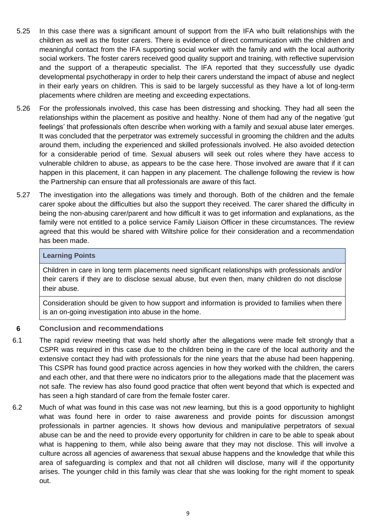- 5.25 In this case there was a significant amount of support from the IFA who built relationships with the children as well as the foster carers. There is evidence of direct communication with the children and meaningful contact from the IFA supporting social worker with the family and with the local authority social workers. The foster carers received good quality support and training, with reflective supervision and the support of a therapeutic specialist. The IFA reported that they successfully use dyadic developmental psychotherapy in order to help their carers understand the impact of abuse and neglect in their early years on children. This is said to be largely successful as they have a lot of long-term placements where children are meeting and exceeding expectations.
- 5.26 For the professionals involved, this case has been distressing and shocking. They had all seen the relationships within the placement as positive and healthy. None of them had any of the negative 'gut feelings' that professionals often describe when working with a family and sexual abuse later emerges. It was concluded that the perpetrator was extremely successful in grooming the children and the adults around them, including the experienced and skilled professionals involved. He also avoided detection for a considerable period of time. Sexual abusers will seek out roles where they have access to vulnerable children to abuse, as appears to be the case here. Those involved are aware that if it can happen in this placement, it can happen in any placement. The challenge following the review is how the Partnership can ensure that all professionals are aware of this fact.
- 5.27 The investigation into the allegations was timely and thorough. Both of the children and the female carer spoke about the difficulties but also the support they received. The carer shared the difficulty in being the non-abusing carer/parent and how difficult it was to get information and explanations, as the family were not entitled to a police service Family Liaison Officer in these circumstances. The review agreed that this would be shared with Wiltshire police for their consideration and a recommendation has been made.

#### **Learning Points**

Children in care in long term placements need significant relationships with professionals and/or their carers if they are to disclose sexual abuse, but even then, many children do not disclose their abuse.

Consideration should be given to how support and information is provided to families when there is an on-going investigation into abuse in the home.

#### **6 Conclusion and recommendations**

- 6.1 The rapid review meeting that was held shortly after the allegations were made felt strongly that a CSPR was required in this case due to the children being in the care of the local authority and the extensive contact they had with professionals for the nine years that the abuse had been happening. This CSPR has found good practice across agencies in how they worked with the children, the carers and each other, and that there were no indicators prior to the allegations made that the placement was not safe. The review has also found good practice that often went beyond that which is expected and has seen a high standard of care from the female foster carer.
- 6.2 Much of what was found in this case was not *new* learning, but this is a good opportunity to highlight what was found here in order to raise awareness and provide points for discussion amongst professionals in partner agencies. It shows how devious and manipulative perpetrators of sexual abuse can be and the need to provide every opportunity for children in care to be able to speak about what is happening to them, while also being aware that they may not disclose. This will involve a culture across all agencies of awareness that sexual abuse happens and the knowledge that while this area of safeguarding is complex and that not all children will disclose, many will if the opportunity arises. The younger child in this family was clear that she was looking for the right moment to speak out.